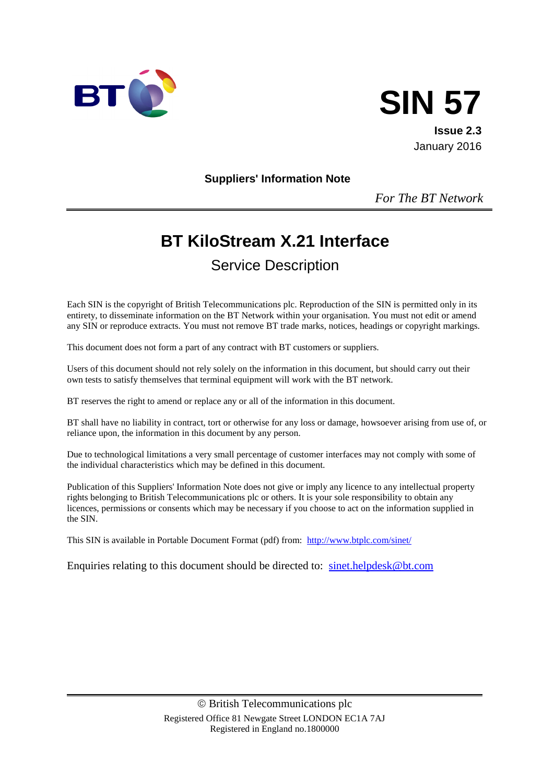



January 2016

**Suppliers' Information Note**

*For The BT Network*

# **BT KiloStream X.21 Interface**

# Service Description

Each SIN is the copyright of British Telecommunications plc. Reproduction of the SIN is permitted only in its entirety, to disseminate information on the BT Network within your organisation. You must not edit or amend any SIN or reproduce extracts. You must not remove BT trade marks, notices, headings or copyright markings.

This document does not form a part of any contract with BT customers or suppliers.

Users of this document should not rely solely on the information in this document, but should carry out their own tests to satisfy themselves that terminal equipment will work with the BT network.

BT reserves the right to amend or replace any or all of the information in this document.

BT shall have no liability in contract, tort or otherwise for any loss or damage, howsoever arising from use of, or reliance upon, the information in this document by any person.

Due to technological limitations a very small percentage of customer interfaces may not comply with some of the individual characteristics which may be defined in this document.

Publication of this Suppliers' Information Note does not give or imply any licence to any intellectual property rights belonging to British Telecommunications plc or others. It is your sole responsibility to obtain any licences, permissions or consents which may be necessary if you choose to act on the information supplied in the SIN.

This SIN is available in Portable Document Format (pdf) from: <http://www.btplc.com/sinet/>

Enquiries relating to this document should be directed to: [sinet.helpdesk@bt.com](mailto:sinet.helpdesk@bt.com)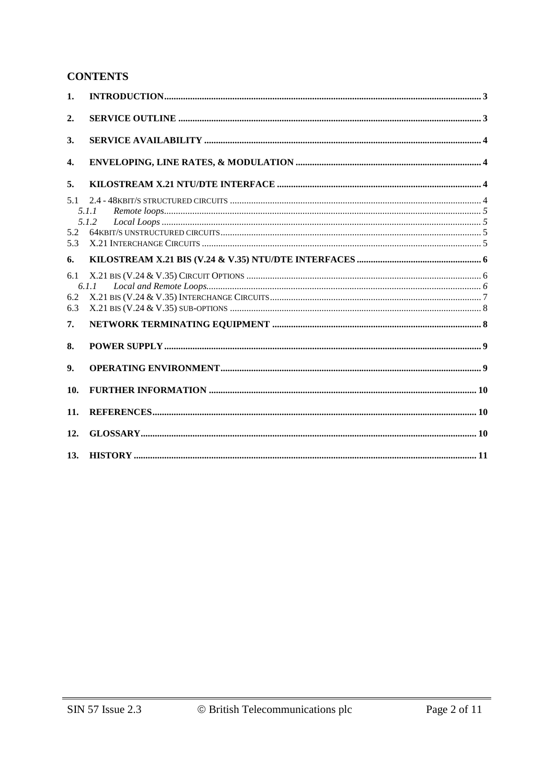#### **CONTENTS**

| 1.                |                |  |
|-------------------|----------------|--|
| 2.                |                |  |
| 3.                |                |  |
| 4.                |                |  |
| 5.                |                |  |
| 5.1<br>5.2<br>5.3 | 5.1.1<br>5.1.2 |  |
| 6.                |                |  |
| 6.1<br>6.2<br>6.3 | 6.1.1          |  |
| 7.                |                |  |
| 8.                |                |  |
| 9.                |                |  |
| 10.               |                |  |
| 11.               |                |  |
| 12.               |                |  |
| 13.               |                |  |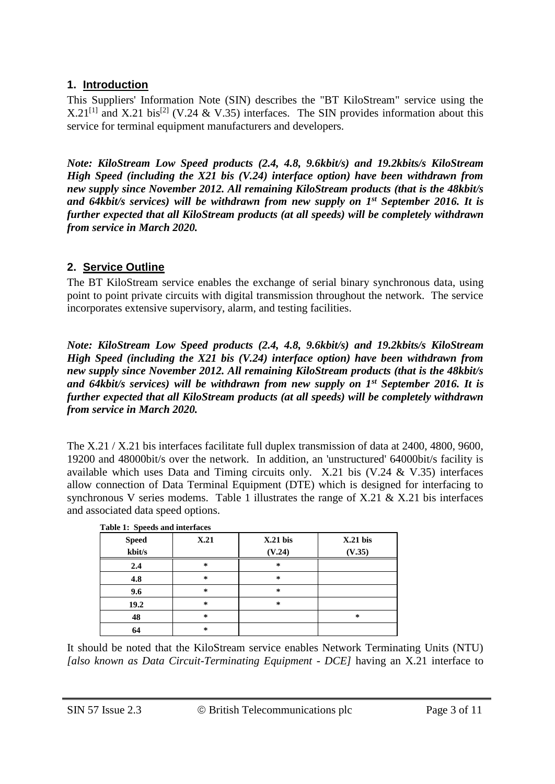#### **1. Introduction**

This Suppliers' Information Note (SIN) describes the "BT KiloStream" service using the X.21<sup>[1]</sup> and X.21 bis<sup>[2]</sup> (V.24 & V.35) interfaces. The SIN provides information about this service for terminal equipment manufacturers and developers.

*Note: KiloStream Low Speed products (2.4, 4.8, 9.6kbit/s) and 19.2kbits/s KiloStream High Speed (including the X21 bis (V.24) interface option) have been withdrawn from new supply since November 2012. All remaining KiloStream products (that is the 48kbit/s and 64kbit/s services) will be withdrawn from new supply on 1st September 2016. It is further expected that all KiloStream products (at all speeds) will be completely withdrawn from service in March 2020.*

#### **2. Service Outline**

The BT KiloStream service enables the exchange of serial binary synchronous data, using point to point private circuits with digital transmission throughout the network. The service incorporates extensive supervisory, alarm, and testing facilities.

*Note: KiloStream Low Speed products (2.4, 4.8, 9.6kbit/s) and 19.2kbits/s KiloStream High Speed (including the X21 bis (V.24) interface option) have been withdrawn from new supply since November 2012. All remaining KiloStream products (that is the 48kbit/s and 64kbit/s services) will be withdrawn from new supply on 1st September 2016. It is further expected that all KiloStream products (at all speeds) will be completely withdrawn from service in March 2020.*

The X.21 / X.21 bis interfaces facilitate full duplex transmission of data at 2400, 4800, 9600, 19200 and 48000bit/s over the network. In addition, an 'unstructured' 64000bit/s facility is available which uses Data and Timing circuits only. X.21 bis (V.24 & V.35) interfaces allow connection of Data Terminal Equipment (DTE) which is designed for interfacing to synchronous V series modems. Table 1 illustrates the range of X.21 & X.21 bis interfaces and associated data speed options.

| <b>Speed</b> | X.21   | $X.21$ bis | $X.21$ bis |
|--------------|--------|------------|------------|
| kbit/s       |        | (V.24)     | (V.35)     |
| 2.4          | ∗      | *          |            |
| 4.8          | $\ast$ | $\ast$     |            |
| 9.6          | *      | *          |            |
| 19.2         | $\ast$ | *          |            |
| 48           | $\ast$ |            | *          |
| 64           | *      |            |            |

It should be noted that the KiloStream service enables Network Terminating Units (NTU) *[also known as Data Circuit-Terminating Equipment - DCE]* having an X.21 interface to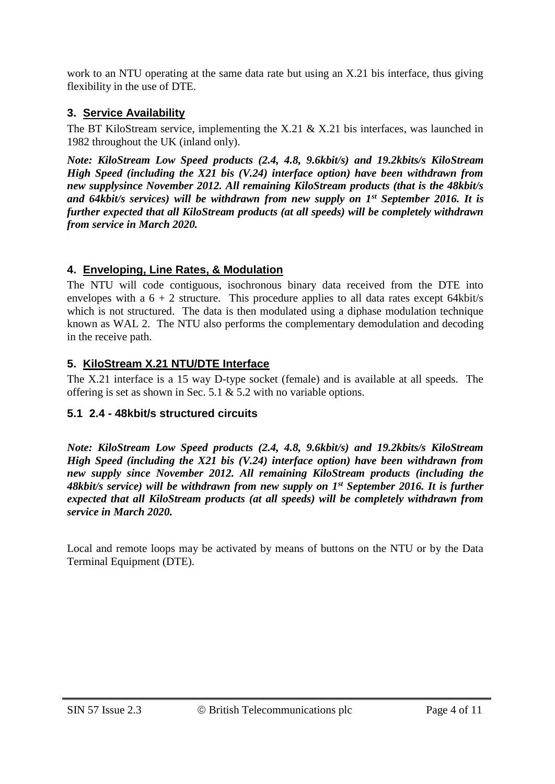work to an NTU operating at the same data rate but using an X.21 bis interface, thus giving flexibility in the use of DTE.

#### **3. Service Availability**

The BT KiloStream service, implementing the X.21 & X.21 bis interfaces, was launched in 1982 throughout the UK (inland only).

*Note: KiloStream Low Speed products (2.4, 4.8, 9.6kbit/s) and 19.2kbits/s KiloStream High Speed (including the X21 bis (V.24) interface option) have been withdrawn from new supplysince November 2012. All remaining KiloStream products (that is the 48kbit/s and 64kbit/s services) will be withdrawn from new supply on 1st September 2016. It is further expected that all KiloStream products (at all speeds) will be completely withdrawn from service in March 2020.*

# **4. Enveloping, Line Rates, & Modulation**

The NTU will code contiguous, isochronous binary data received from the DTE into envelopes with a  $6 + 2$  structure. This procedure applies to all data rates except 64kbit/s which is not structured. The data is then modulated using a diphase modulation technique known as WAL 2. The NTU also performs the complementary demodulation and decoding in the receive path.

# **5. KiloStream X.21 NTU/DTE Interface**

The X.21 interface is a 15 way D-type socket (female) and is available at all speeds. The offering is set as shown in Sec. 5.1 & 5.2 with no variable options.

# **5.1 2.4 - 48kbit/s structured circuits**

*Note: KiloStream Low Speed products (2.4, 4.8, 9.6kbit/s) and 19.2kbits/s KiloStream High Speed (including the X21 bis (V.24) interface option) have been withdrawn from new supply since November 2012. All remaining KiloStream products (including the 48kbit/s service) will be withdrawn from new supply on 1st September 2016. It is further expected that all KiloStream products (at all speeds) will be completely withdrawn from service in March 2020.*

Local and remote loops may be activated by means of buttons on the NTU or by the Data Terminal Equipment (DTE).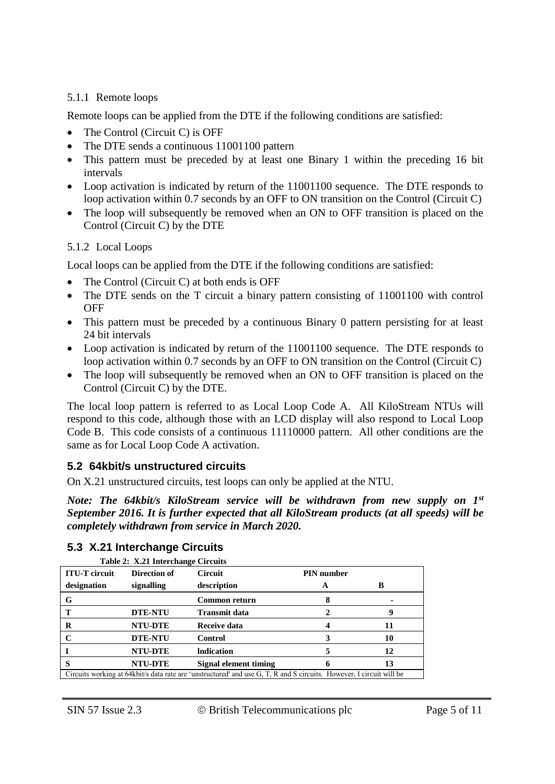#### 5.1.1 Remote loops

Remote loops can be applied from the DTE if the following conditions are satisfied:

- The Control (Circuit C) is OFF
- The DTE sends a continuous 11001100 pattern
- This pattern must be preceded by at least one Binary 1 within the preceding 16 bit intervals
- Loop activation is indicated by return of the 11001100 sequence. The DTE responds to loop activation within 0.7 seconds by an OFF to ON transition on the Control (Circuit C)
- The loop will subsequently be removed when an ON to OFF transition is placed on the Control (Circuit C) by the DTE

#### 5.1.2 Local Loops

Local loops can be applied from the DTE if the following conditions are satisfied:

- The Control (Circuit C) at both ends is OFF
- The DTE sends on the T circuit a binary pattern consisting of 11001100 with control **OFF**
- This pattern must be preceded by a continuous Binary 0 pattern persisting for at least 24 bit intervals
- Loop activation is indicated by return of the 11001100 sequence. The DTE responds to loop activation within 0.7 seconds by an OFF to ON transition on the Control (Circuit C)
- The loop will subsequently be removed when an ON to OFF transition is placed on the Control (Circuit C) by the DTE.

The local loop pattern is referred to as Local Loop Code A. All KiloStream NTUs will respond to this code, although those with an LCD display will also respond to Local Loop Code B. This code consists of a continuous 11110000 pattern. All other conditions are the same as for Local Loop Code A activation.

#### **5.2 64kbit/s unstructured circuits**

On X.21 unstructured circuits, test loops can only be applied at the NTU.

*Note: The 64kbit/s KiloStream service will be withdrawn from new supply on 1st September 2016. It is further expected that all KiloStream products (at all speeds) will be completely withdrawn from service in March 2020.*

| Table 2: X.21 Interchange Circuits                                                                                   |                |                       |                   |    |  |
|----------------------------------------------------------------------------------------------------------------------|----------------|-----------------------|-------------------|----|--|
| <b>ITU-T</b> circuit                                                                                                 | Direction of   | Circuit               | <b>PIN</b> number |    |  |
| designation                                                                                                          | signalling     | description           | A                 | B  |  |
| G                                                                                                                    |                | Common return         |                   |    |  |
|                                                                                                                      | <b>DTE-NTU</b> | Transmit data         |                   |    |  |
| R                                                                                                                    | <b>NTU-DTE</b> | Receive data          |                   |    |  |
|                                                                                                                      | <b>DTE-NTU</b> | Control               |                   | 10 |  |
|                                                                                                                      | <b>NTU-DTE</b> | <b>Indication</b>     |                   | 12 |  |
| S                                                                                                                    | <b>NTU-DTE</b> | Signal element timing |                   | 13 |  |
| Circuits working at 64kbit/s data rate are 'unstructured' and use G, T, R and S circuits. However, I circuit will be |                |                       |                   |    |  |

#### **5.3 X.21 Interchange Circuits Table 2: X.21 Interchange Circuits**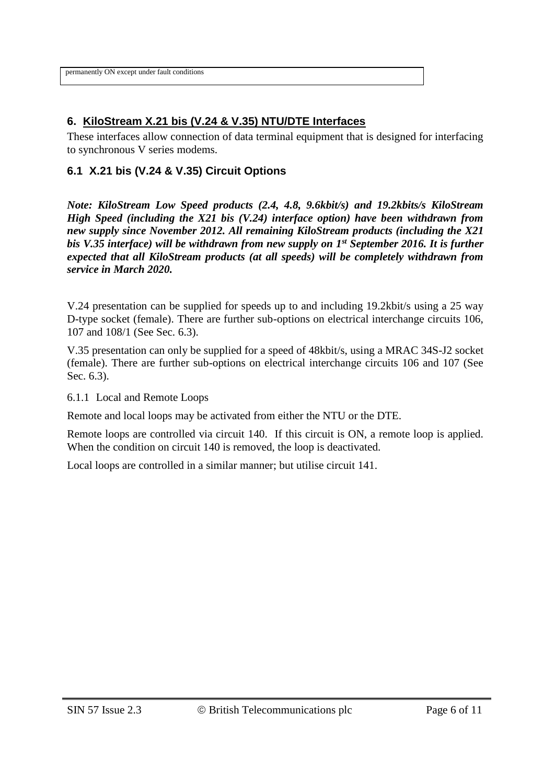permanently ON except under fault conditions

#### **6. KiloStream X.21 bis (V.24 & V.35) NTU/DTE Interfaces**

These interfaces allow connection of data terminal equipment that is designed for interfacing to synchronous V series modems.

#### **6.1 X.21 bis (V.24 & V.35) Circuit Options**

*Note: KiloStream Low Speed products (2.4, 4.8, 9.6kbit/s) and 19.2kbits/s KiloStream High Speed (including the X21 bis (V.24) interface option) have been withdrawn from new supply since November 2012. All remaining KiloStream products (including the X21 bis V.35 interface) will be withdrawn from new supply on 1st September 2016. It is further expected that all KiloStream products (at all speeds) will be completely withdrawn from service in March 2020.*

V.24 presentation can be supplied for speeds up to and including 19.2kbit/s using a 25 way D-type socket (female). There are further sub-options on electrical interchange circuits 106, 107 and 108/1 (See Sec. 6.3).

V.35 presentation can only be supplied for a speed of 48kbit/s, using a MRAC 34S-J2 socket (female). There are further sub-options on electrical interchange circuits 106 and 107 (See Sec. 6.3).

6.1.1 Local and Remote Loops

Remote and local loops may be activated from either the NTU or the DTE.

Remote loops are controlled via circuit 140. If this circuit is ON, a remote loop is applied. When the condition on circuit 140 is removed, the loop is deactivated.

Local loops are controlled in a similar manner; but utilise circuit 141.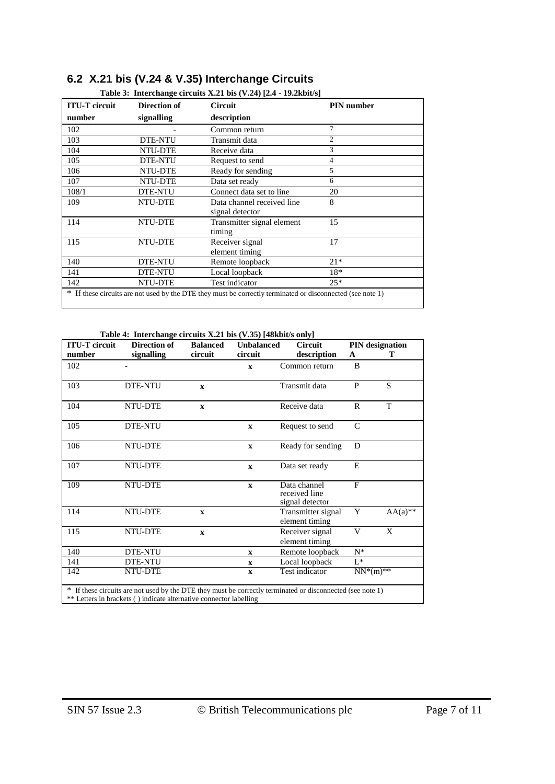| <b>ITU-T</b> circuit | Direction of   | <b>Circuit</b>             | <b>PIN</b> number |
|----------------------|----------------|----------------------------|-------------------|
| number               | signalling     | description                |                   |
| 102                  |                | Common return              | 7                 |
| 103                  | <b>DTE-NTU</b> | Transmit data              | $\mathfrak{D}$    |
| 104                  | NTU-DTE        | Receive data               | 3                 |
| 105                  | <b>DTE-NTU</b> | Request to send            | 4                 |
| 106                  | NTU-DTE        | Ready for sending          | 5                 |
| 107                  | NTU-DTE        | Data set ready             | 6                 |
| 108/1                | <b>DTE-NTU</b> | Connect data set to line   | 20                |
| 109                  | NTU-DTE        | Data channel received line | 8                 |
|                      |                | signal detector            |                   |
| 114                  | NTU-DTE        | Transmitter signal element | 15                |
|                      |                | timing                     |                   |
| 115                  | NTU-DTE        | Receiver signal            | 17                |
|                      |                | element timing             |                   |
| 140                  | <b>DTE-NTU</b> | Remote loopback            | $21*$             |
| 141                  | <b>DTE-NTU</b> | Local loopback             | 18*               |
| 142                  | NTU-DTE        | Test indicator             | $25*$             |

# **6.2 X.21 bis (V.24 & V.35) Interchange Circuits**

**Table 4: Interchange circuits X.21 bis (V.35) [48kbit/s only]**

| <b>ITU-T</b> circuit | <b>Direction of</b>                                                | <b>Balanced</b> | <b>Unbalanced</b> | <b>Circuit</b>                                                                                             | <b>PIN</b> designation |            |
|----------------------|--------------------------------------------------------------------|-----------------|-------------------|------------------------------------------------------------------------------------------------------------|------------------------|------------|
| number               | signalling                                                         | circuit         | circuit           | description                                                                                                | A                      | т          |
| 102                  |                                                                    |                 | $\mathbf{x}$      | Common return                                                                                              | B                      |            |
| 103                  | DTE-NTU                                                            | $\mathbf{x}$    |                   | Transmit data                                                                                              | $\mathbf{P}$           | S          |
| 104                  | NTU-DTE                                                            | $\mathbf{x}$    |                   | Receive data                                                                                               | $\mathbf{R}$           | T          |
| 105                  | <b>DTE-NTU</b>                                                     |                 | $\mathbf{x}$      | Request to send                                                                                            | $\mathcal{C}$          |            |
| 106                  | NTU-DTE                                                            |                 | $\mathbf{x}$      | Ready for sending                                                                                          | D                      |            |
| 107                  | NTU-DTE                                                            |                 | $\mathbf{x}$      | Data set ready                                                                                             | E                      |            |
| 109                  | NTU-DTE                                                            |                 | $\mathbf{x}$      | Data channel<br>received line<br>signal detector                                                           | $\overline{F}$         |            |
| 114                  | NTU-DTE                                                            | $\mathbf{x}$    |                   | Transmitter signal<br>element timing                                                                       | Y                      | $AA(a)$ ** |
| 115                  | NTU-DTE                                                            | $\mathbf{x}$    |                   | Receiver signal<br>element timing                                                                          | V                      | X          |
| 140                  | <b>DTE-NTU</b>                                                     |                 | $\mathbf{x}$      | Remote loopback                                                                                            | $N^*$                  |            |
| 141                  | DTE-NTU                                                            |                 | $\mathbf x$       | Local loopback                                                                                             | $L^*$                  |            |
| 142                  | NTU-DTE                                                            |                 | $\mathbf{x}$      | Test indicator                                                                                             | $NN^*(m)$ **           |            |
|                      |                                                                    |                 |                   | * If these circuits are not used by the DTE they must be correctly terminated or disconnected (see note 1) |                        |            |
|                      | ** Letters in brackets () indicate alternative connector labelling |                 |                   |                                                                                                            |                        |            |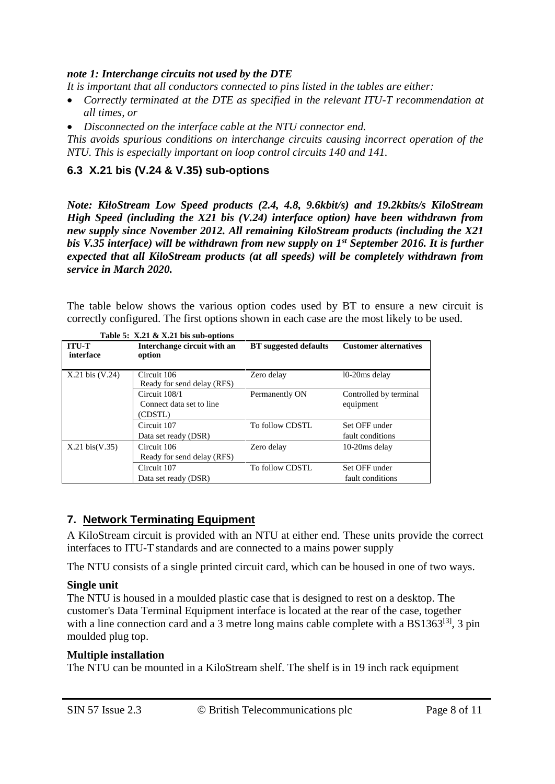#### *note 1: Interchange circuits not used by the DTE*

*It is important that all conductors connected to pins listed in the tables are either:*

- *Correctly terminated at the DTE as specified in the relevant ITU-T recommendation at all times, or*
- *Disconnected on the interface cable at the NTU connector end.*

*This avoids spurious conditions on interchange circuits causing incorrect operation of the NTU. This is especially important on loop control circuits 140 and 141.*

#### **6.3 X.21 bis (V.24 & V.35) sub-options**

*Note: KiloStream Low Speed products (2.4, 4.8, 9.6kbit/s) and 19.2kbits/s KiloStream High Speed (including the X21 bis (V.24) interface option) have been withdrawn from new supply since November 2012. All remaining KiloStream products (including the X21 bis V.35 interface) will be withdrawn from new supply on 1st September 2016. It is further expected that all KiloStream products (at all speeds) will be completely withdrawn from service in March 2020.*

The table below shows the various option codes used by BT to ensure a new circuit is correctly configured. The first options shown in each case are the most likely to be used.

| <b>ITU-T</b>             | Interchange circuit with an | <b>BT</b> suggested defaults | <b>Customer alternatives</b> |
|--------------------------|-----------------------------|------------------------------|------------------------------|
| interface                | option                      |                              |                              |
|                          |                             |                              |                              |
| $X.21$ bis $(V.24)$      | Circuit 106                 | Zero delay                   | 10-20ms delay                |
|                          | Ready for send delay (RFS)  |                              |                              |
|                          | Circuit 108/1               | Permanently ON               | Controlled by terminal       |
|                          | Connect data set to line    |                              | equipment                    |
|                          | (CDSTL)                     |                              |                              |
|                          | Circuit 107                 | To follow CDSTL              | Set OFF under                |
|                          | Data set ready (DSR)        |                              | fault conditions             |
| $X.21 \text{ bis}(V.35)$ | Circuit 106                 | Zero delay                   | $10-20$ ms delay             |
|                          | Ready for send delay (RFS)  |                              |                              |
|                          | Circuit 107                 | To follow CDSTL              | Set OFF under                |
|                          | Data set ready (DSR)        |                              | fault conditions             |

**Table 5: X.21 & X.21 bis sub-options**

#### **7. Network Terminating Equipment**

A KiloStream circuit is provided with an NTU at either end. These units provide the correct interfaces to ITU-T standards and are connected to a mains power supply

The NTU consists of a single printed circuit card, which can be housed in one of two ways.

#### **Single unit**

The NTU is housed in a moulded plastic case that is designed to rest on a desktop. The customer's Data Terminal Equipment interface is located at the rear of the case, together with a line connection card and a 3 metre long mains cable complete with a  $BS1363^{[3]}$ , 3 pin moulded plug top.

#### **Multiple installation**

The NTU can be mounted in a KiloStream shelf. The shelf is in 19 inch rack equipment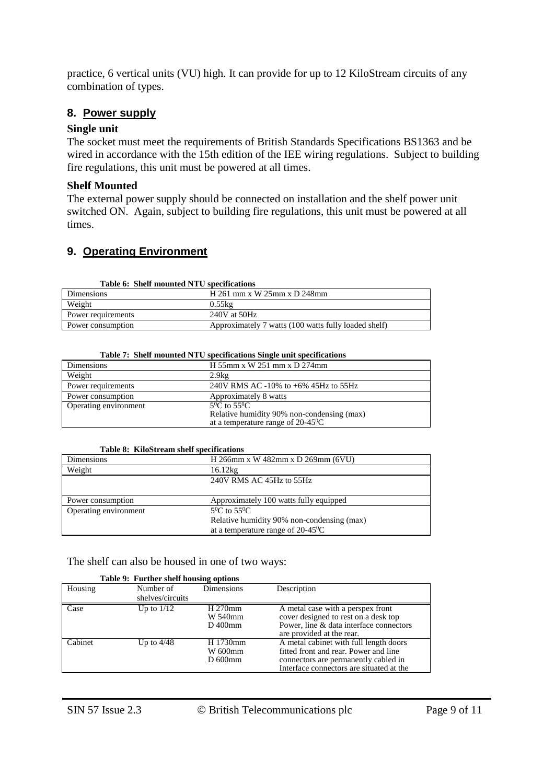practice, 6 vertical units (VU) high. It can provide for up to 12 KiloStream circuits of any combination of types.

#### **8. Power supply**

#### **Single unit**

The socket must meet the requirements of British Standards Specifications BS1363 and be wired in accordance with the 15th edition of the IEE wiring regulations. Subject to building fire regulations, this unit must be powered at all times.

#### **Shelf Mounted**

The external power supply should be connected on installation and the shelf power unit switched ON. Again, subject to building fire regulations, this unit must be powered at all times.

#### **9. Operating Environment**

| Table 6: Shelf mounted NTU specifications |                                                      |  |  |  |
|-------------------------------------------|------------------------------------------------------|--|--|--|
| Dimensions                                | H 261 mm x W 25mm x D 248mm                          |  |  |  |
| Weight                                    | 0.55kg                                               |  |  |  |
| Power requirements                        | $240V$ at $50Hz$                                     |  |  |  |
| Power consumption                         | Approximately 7 watts (100 watts fully loaded shelf) |  |  |  |

| Dimensions            | H 55mm x W 251 mm x D 274mm                                                                                      |
|-----------------------|------------------------------------------------------------------------------------------------------------------|
| Weight                | 2.9kg                                                                                                            |
| Power requirements    | 240V RMS AC -10% to $+6\%$ 45Hz to 55Hz                                                                          |
| Power consumption     | Approximately 8 watts                                                                                            |
| Operating environment | $5^0$ C to $55^0$ C<br>Relative humidity 90% non-condensing (max)<br>at a temperature range of $20-45^{\circ}$ C |

#### **Table 7: Shelf mounted NTU specifications Single unit specifications**

#### **Table 8: KiloStream shelf specifications**

| Dimensions            | H 266mm x W 482mm x D 269mm (6VU)           |
|-----------------------|---------------------------------------------|
| Weight                | 16.12kg                                     |
|                       | 240V RMS AC 45Hz to 55Hz                    |
|                       |                                             |
| Power consumption     | Approximately 100 watts fully equipped      |
| Operating environment | $5^0$ C to $55^0$ C                         |
|                       | Relative humidity 90% non-condensing (max)  |
|                       | at a temperature range of $20-45^{\circ}$ C |

#### The shelf can also be housed in one of two ways:

|         | Table 9: Further shelf housing options |                                    |                                                                                                                                                                     |  |  |  |
|---------|----------------------------------------|------------------------------------|---------------------------------------------------------------------------------------------------------------------------------------------------------------------|--|--|--|
| Housing | Number of                              | <b>Dimensions</b>                  | Description                                                                                                                                                         |  |  |  |
|         | shelves/circuits                       |                                    |                                                                                                                                                                     |  |  |  |
| Case    | Up to $1/12$                           | H 270mm<br>W 540mm<br>D 400mm      | A metal case with a perspex front<br>cover designed to rest on a desk top<br>Power, line & data interface connectors<br>are provided at the rear.                   |  |  |  |
| Cabinet | Up to $4/48$                           | H 1730mm<br>W 600mm<br>$D_{600mm}$ | A metal cabinet with full length doors<br>fitted front and rear. Power and line<br>connectors are permanently cabled in<br>Interface connectors are situated at the |  |  |  |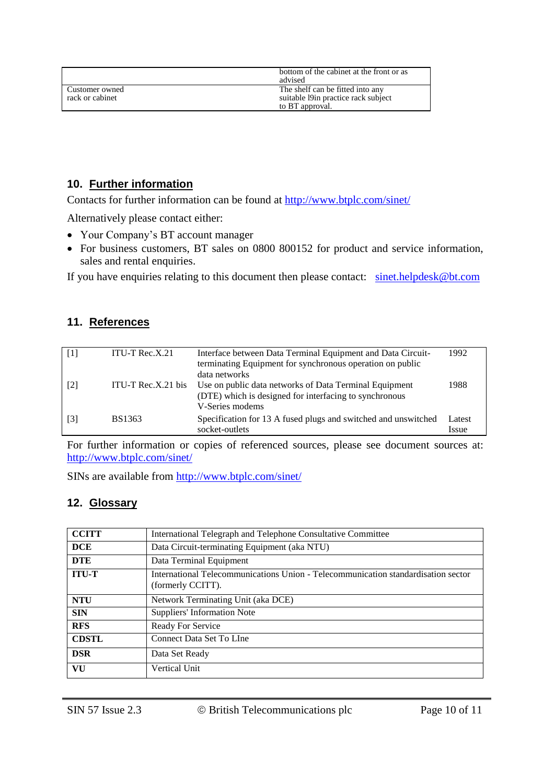|                                   | bottom of the cabinet at the front or as<br>advised                                         |
|-----------------------------------|---------------------------------------------------------------------------------------------|
| Customer owned<br>rack or cabinet | The shelf can be fitted into any<br>suitable 19 in practice rack subject<br>to BT approval. |

#### **10. Further information**

Contacts for further information can be found at<http://www.btplc.com/sinet/>

Alternatively please contact either:

- Your Company's BT account manager
- For business customers, BT sales on 0800 800152 for product and service information, sales and rental enquiries.

If you have enquiries relating to this document then please contact: [sinet.helpdesk@bt.com](mailto:sinet.helpdesk@bt.com)

#### **11. References**

|                   | ITU-T $Rec.X.21$   | Interface between Data Terminal Equipment and Data Circuit-    | 1992   |
|-------------------|--------------------|----------------------------------------------------------------|--------|
|                   |                    | terminating Equipment for synchronous operation on public      |        |
|                   |                    | data networks                                                  |        |
| [2]               | ITU-T Rec.X.21 bis | Use on public data networks of Data Terminal Equipment         | 1988   |
|                   |                    | (DTE) which is designed for interfacing to synchronous         |        |
|                   |                    | V-Series modems                                                |        |
| $\lceil 3 \rceil$ | BS1363             | Specification for 13 A fused plugs and switched and unswitched | Latest |
|                   |                    | socket-outlets                                                 | Issue  |

For further information or copies of referenced sources, please see document sources at: <http://www.btplc.com/sinet/>

SINs are available from<http://www.btplc.com/sinet/>

#### **12. Glossary**

| <b>CCITT</b> | International Telegraph and Telephone Consultative Committee                                           |  |  |
|--------------|--------------------------------------------------------------------------------------------------------|--|--|
| <b>DCE</b>   | Data Circuit-terminating Equipment (aka NTU)                                                           |  |  |
| <b>DTE</b>   | Data Terminal Equipment                                                                                |  |  |
| <b>ITU-T</b> | International Telecommunications Union - Telecommunication standardisation sector<br>(formerly CCITT). |  |  |
| <b>NTU</b>   | Network Terminating Unit (aka DCE)                                                                     |  |  |
| <b>SIN</b>   | Suppliers' Information Note                                                                            |  |  |
| <b>RFS</b>   | Ready For Service                                                                                      |  |  |
| <b>CDSTL</b> | Connect Data Set To LIne                                                                               |  |  |
| <b>DSR</b>   | Data Set Ready                                                                                         |  |  |
| VU           | <b>Vertical Unit</b>                                                                                   |  |  |